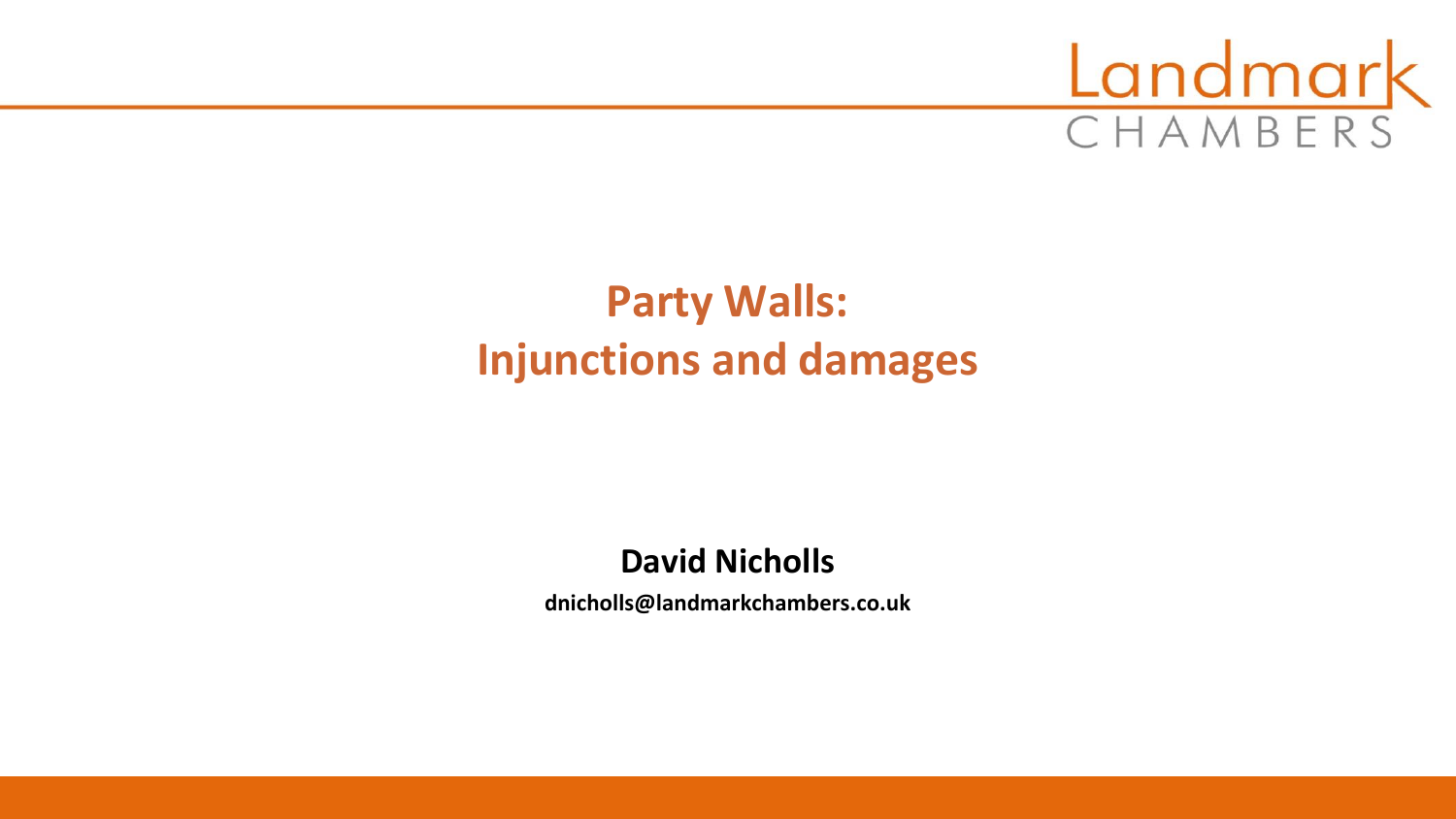

# **Party Walls: Injunctions and damages**

### **David Nicholls**

**dnicholls@landmarkchambers.co.uk**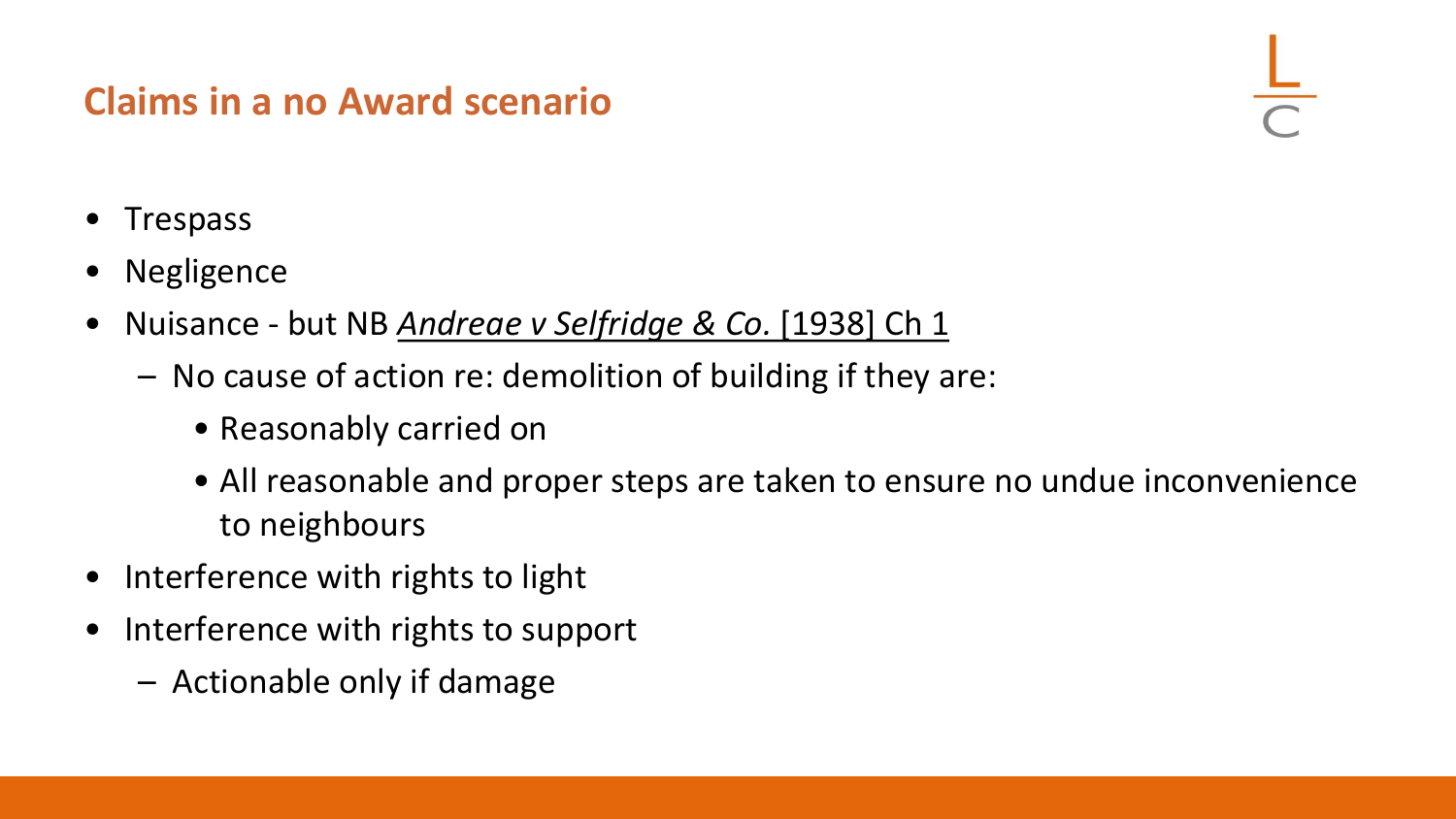## **Claims in a no Award scenario**

- **Trespass**
- **Negligence**
- Nuisance but NB *Andreae v Selfridge & Co.* [1938] Ch 1
	- No cause of action re: demolition of building if they are:
		- Reasonably carried on
		- All reasonable and proper steps are taken to ensure no undue inconvenience to neighbours
- Interference with rights to light
- Interference with rights to support
	- Actionable only if damage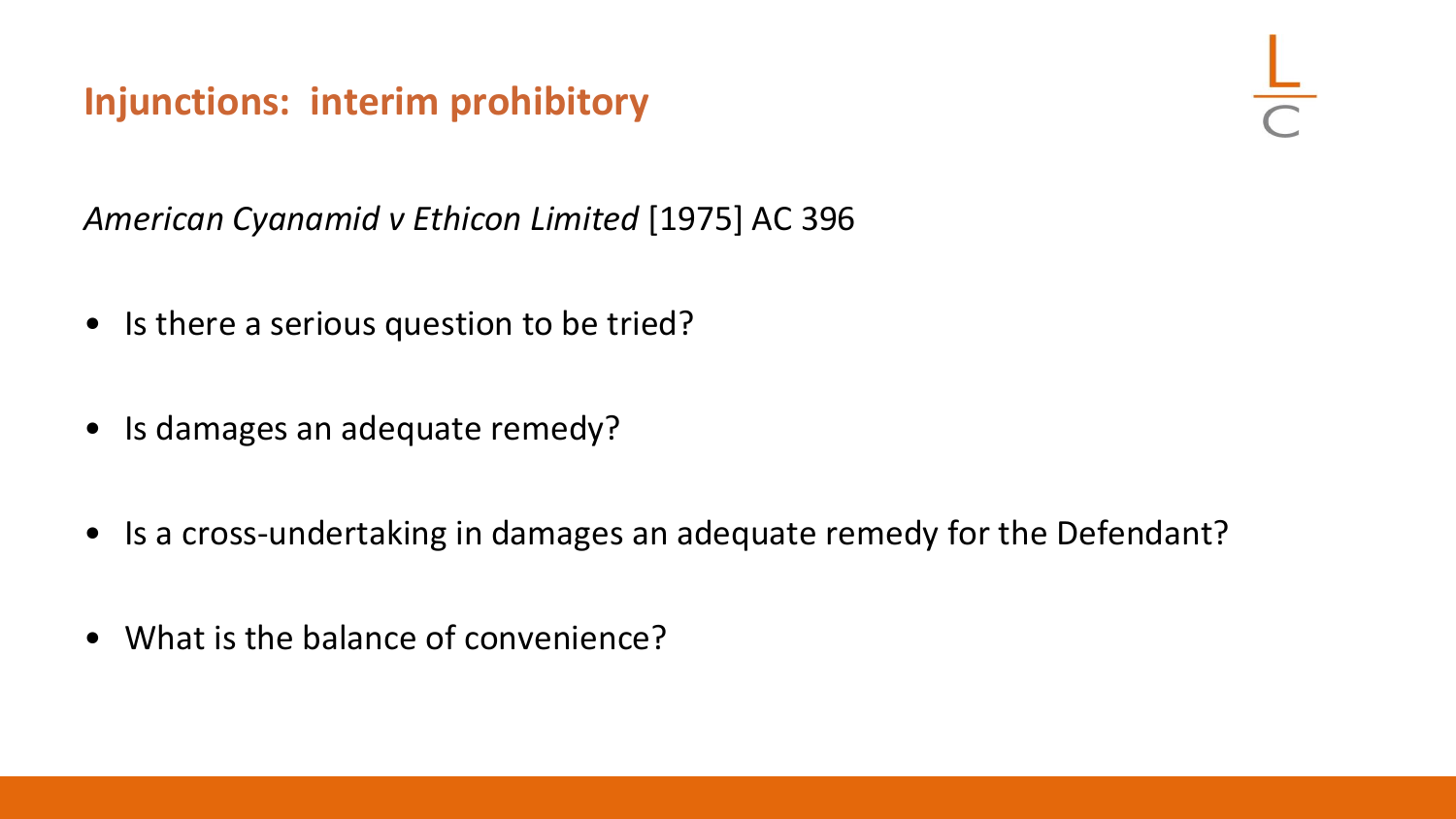# **Injunctions: interim prohibitory**

*American Cyanamid v Ethicon Limited* [1975] AC 396

- Is there a serious question to be tried?
- Is damages an adequate remedy?
- Is a cross-undertaking in damages an adequate remedy for the Defendant?
- What is the balance of convenience?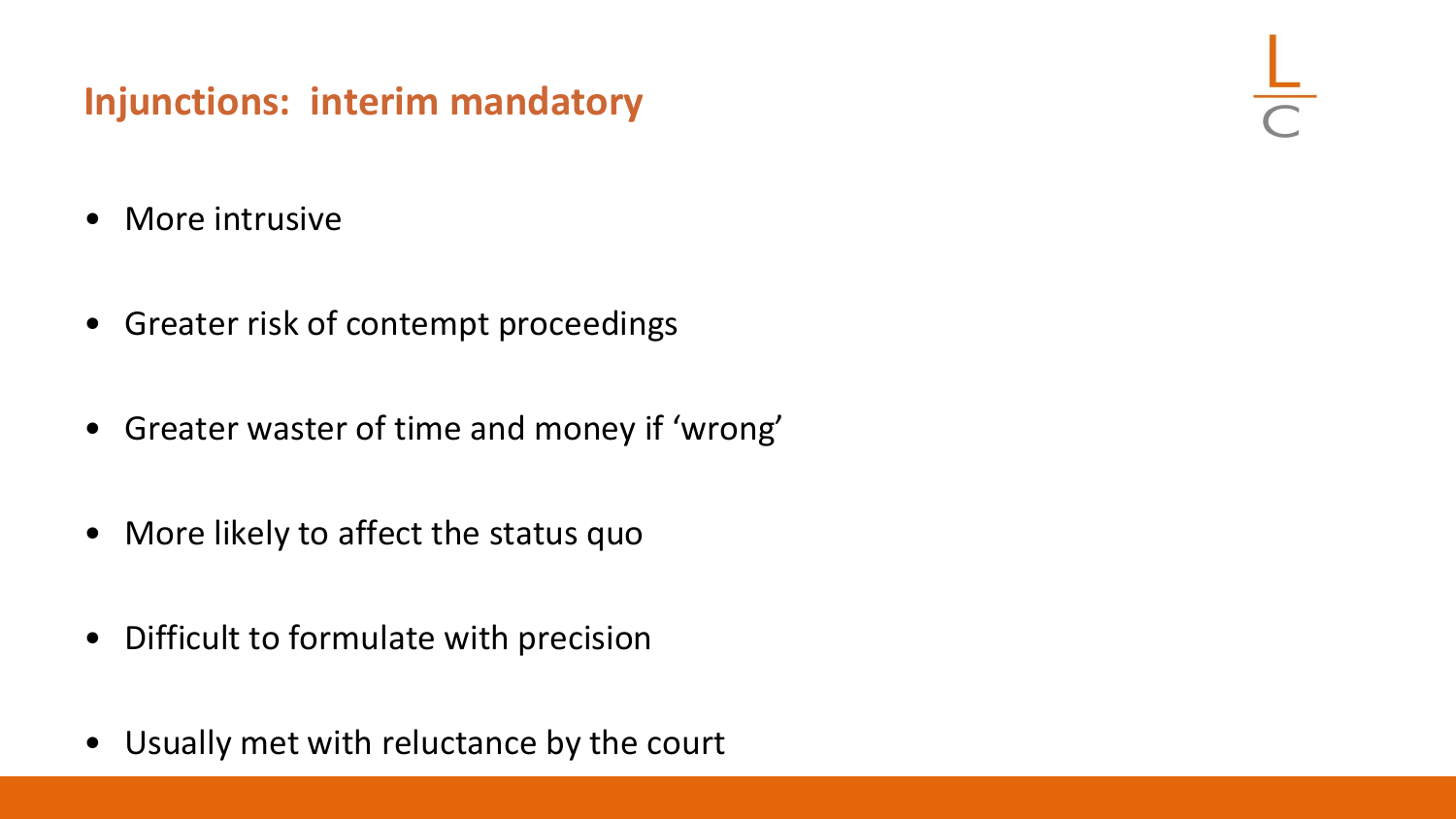# **Injunctions: interim mandatory**

- More intrusive
- Greater risk of contempt proceedings
- Greater waster of time and money if 'wrong'
- More likely to affect the status quo
- Difficult to formulate with precision
- Usually met with reluctance by the court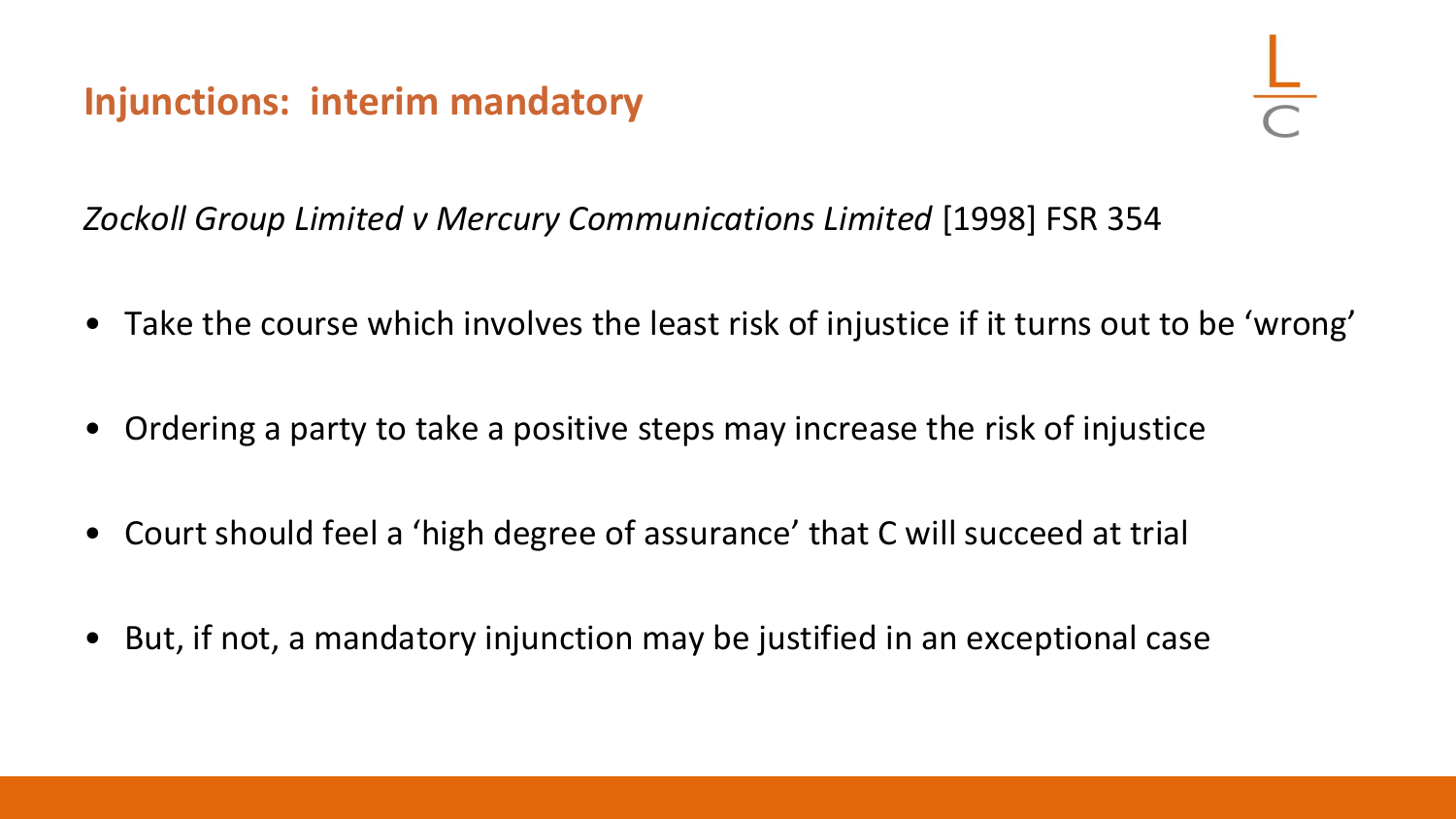# **Injunctions: interim mandatory**

*Zockoll Group Limited v Mercury Communications Limited* [1998] FSR 354

- Take the course which involves the least risk of injustice if it turns out to be 'wrong'
- Ordering a party to take a positive steps may increase the risk of injustice
- Court should feel a 'high degree of assurance' that C will succeed at trial
- But, if not, a mandatory injunction may be justified in an exceptional case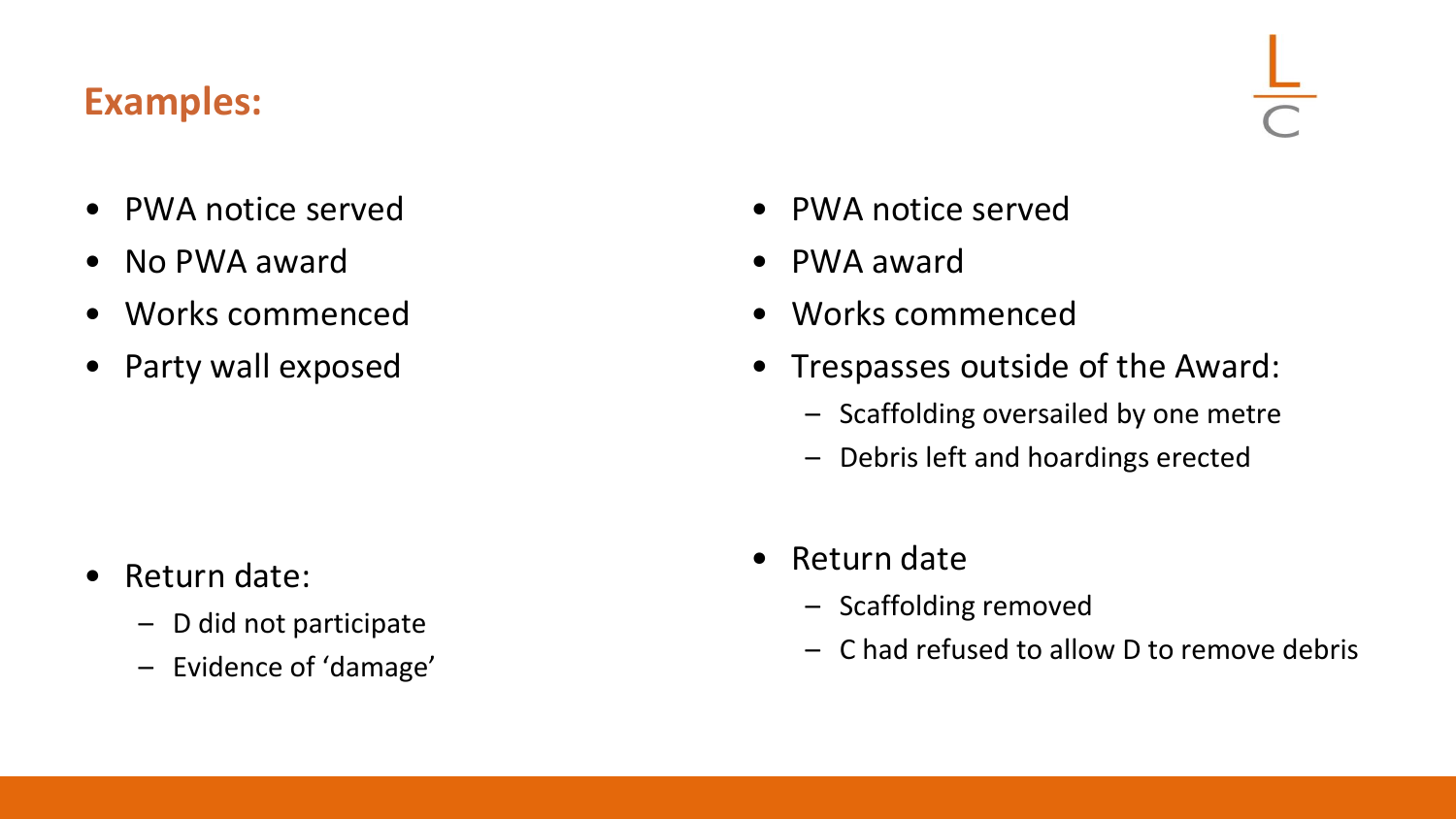### **Examples:**

- PWA notice served
- No PWA award
- Works commenced
- Party wall exposed
- PWA notice served
- PWA award
- Works commenced
- Trespasses outside of the Award:
	- Scaffolding oversailed by one metre
	- Debris left and hoardings erected

- Return date:
	- D did not participate
	- Evidence of 'damage'
- Return date
	- Scaffolding removed
	- C had refused to allow D to remove debris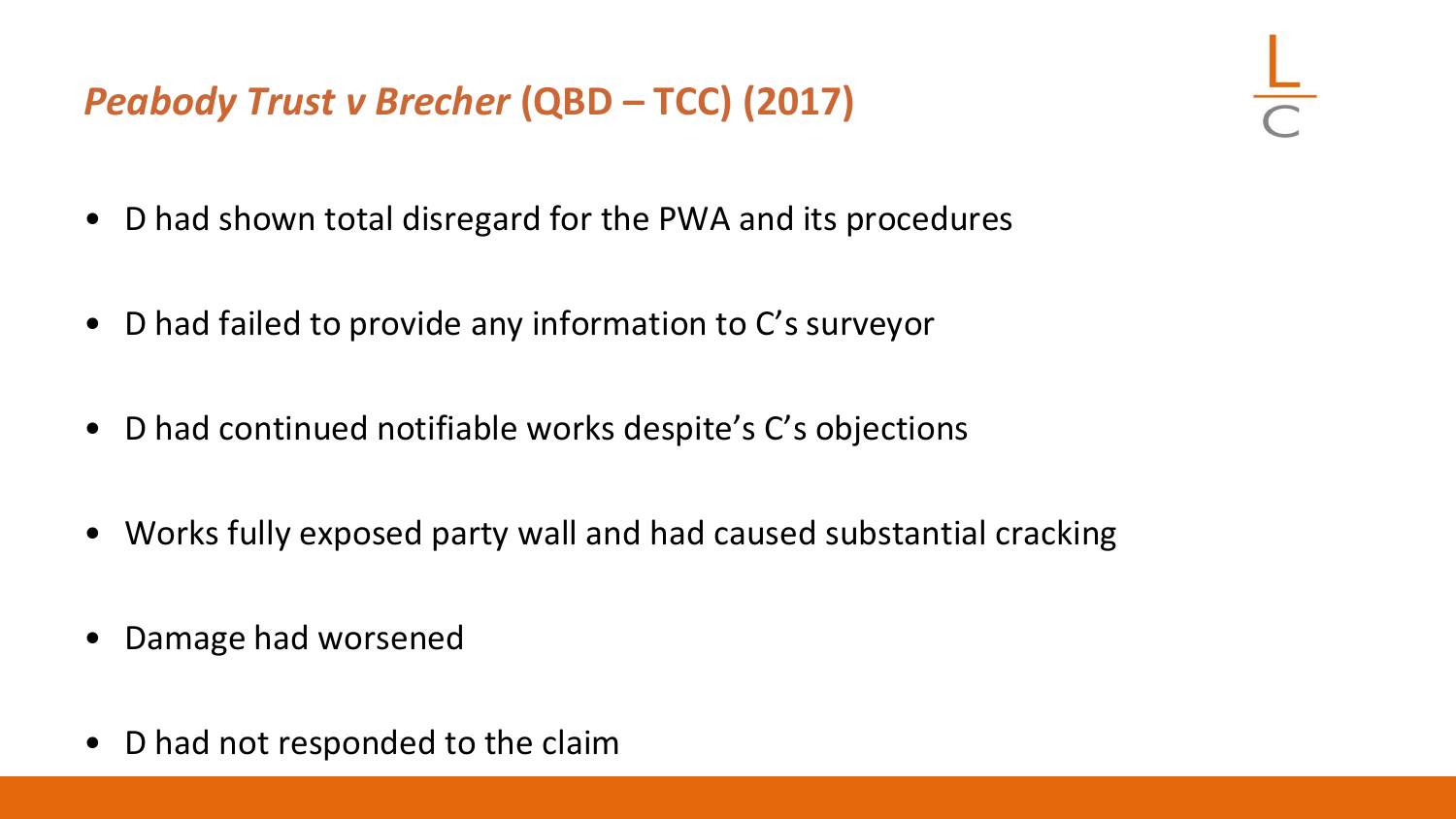*Peabody Trust v Brecher* **(QBD – TCC) (2017)**

- D had shown total disregard for the PWA and its procedures
- D had failed to provide any information to C's surveyor
- D had continued notifiable works despite's C's objections
- Works fully exposed party wall and had caused substantial cracking
- Damage had worsened
- D had not responded to the claim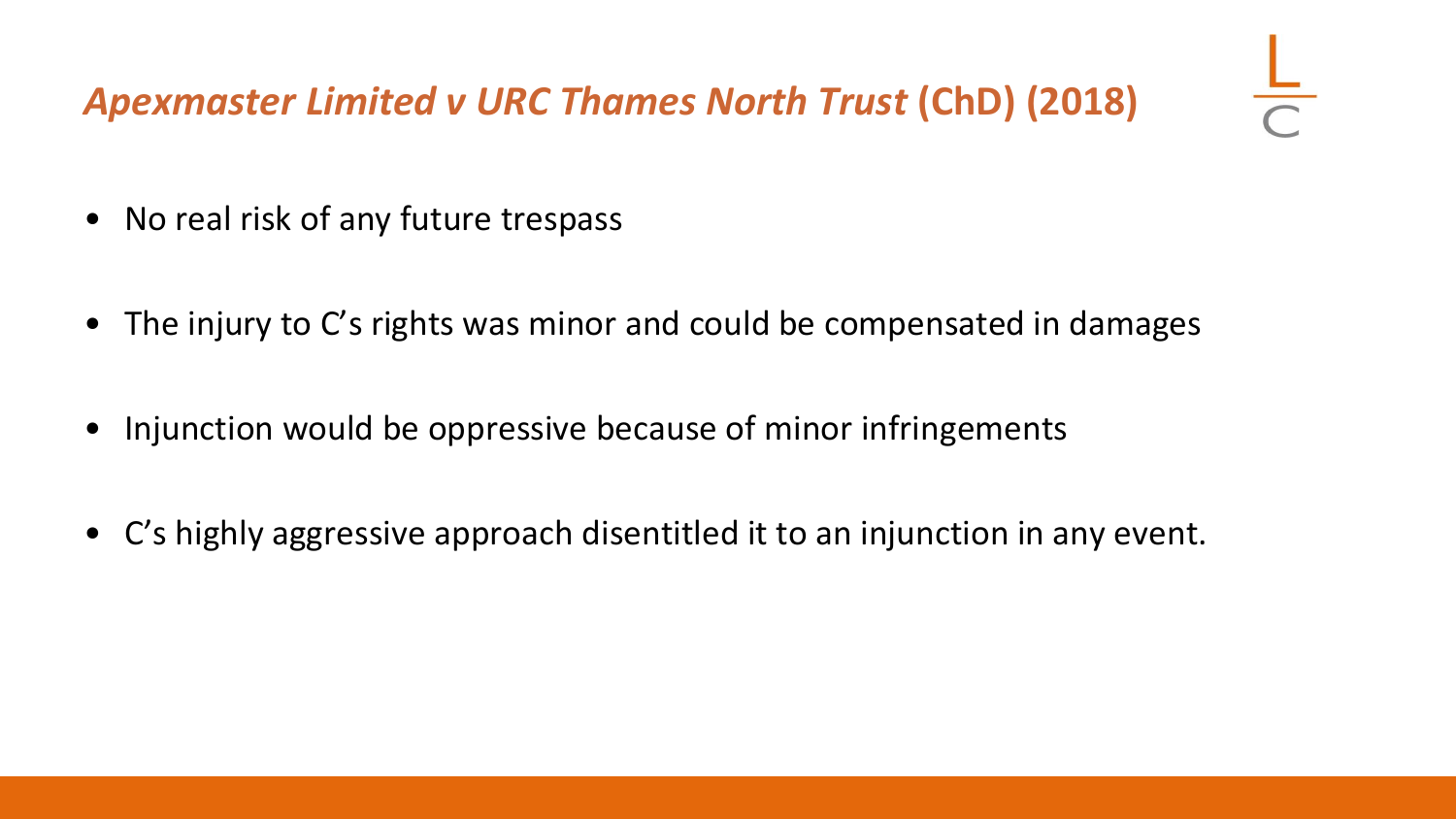# *Apexmaster Limited v URC Thames North Trust* **(ChD) (2018)**

- No real risk of any future trespass
- The injury to C's rights was minor and could be compensated in damages
- Injunction would be oppressive because of minor infringements
- C's highly aggressive approach disentitled it to an injunction in any event.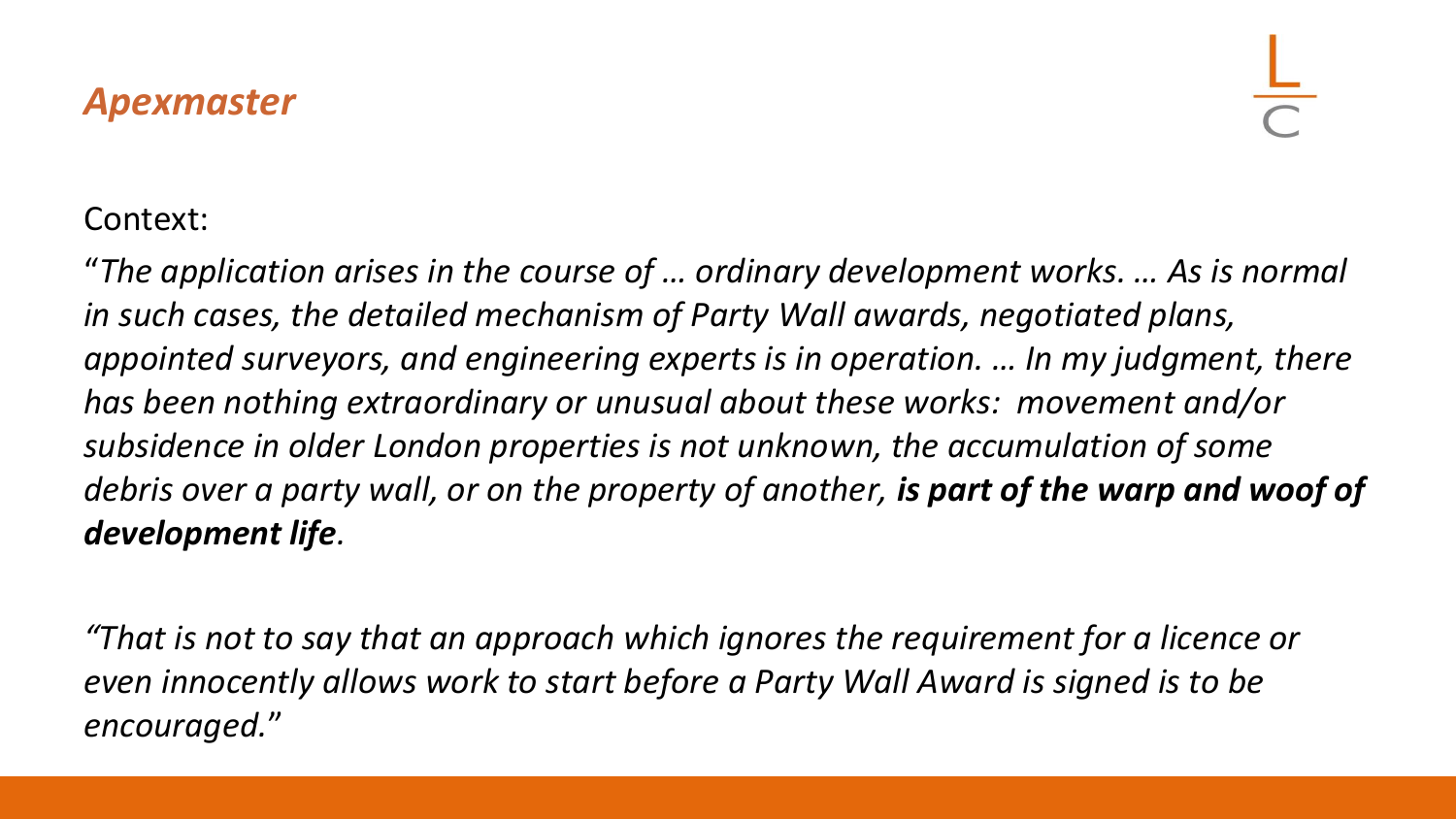### *Apexmaster*

### Context:

"*The application arises in the course of … ordinary development works. … As is normal in such cases, the detailed mechanism of Party Wall awards, negotiated plans, appointed surveyors, and engineering experts is in operation. … In my judgment, there has been nothing extraordinary or unusual about these works: movement and/or subsidence in older London properties is not unknown, the accumulation of some debris over a party wall, or on the property of another, is part of the warp and woof of development life.*

*"That is not to say that an approach which ignores the requirement for a licence or even innocently allows work to start before a Party Wall Award is signed is to be encouraged.*"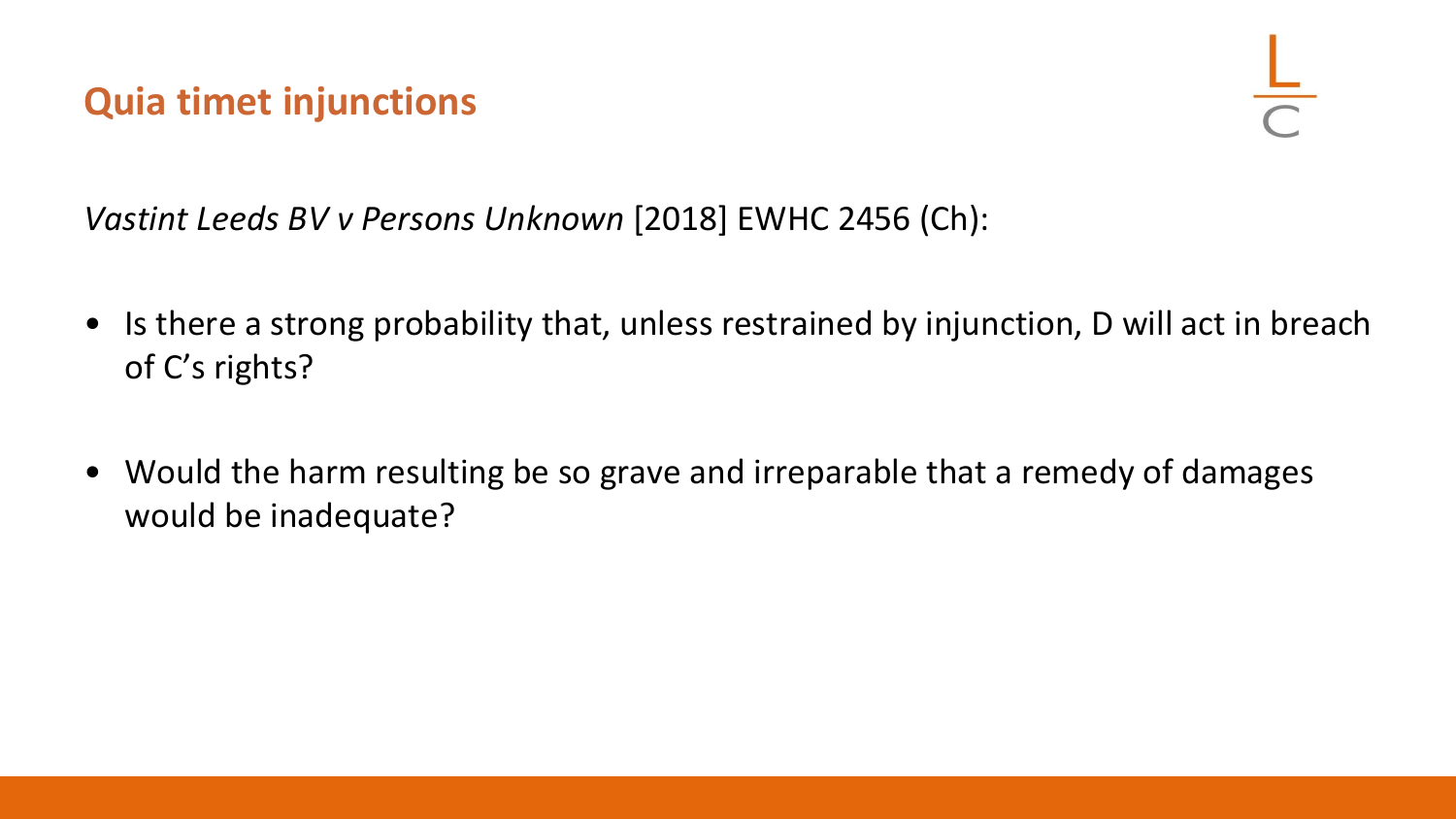# **Quia timet injunctions**

*Vastint Leeds BV v Persons Unknown* [2018] EWHC 2456 (Ch):

- Is there a strong probability that, unless restrained by injunction, D will act in breach of C's rights?
- Would the harm resulting be so grave and irreparable that a remedy of damages would be inadequate?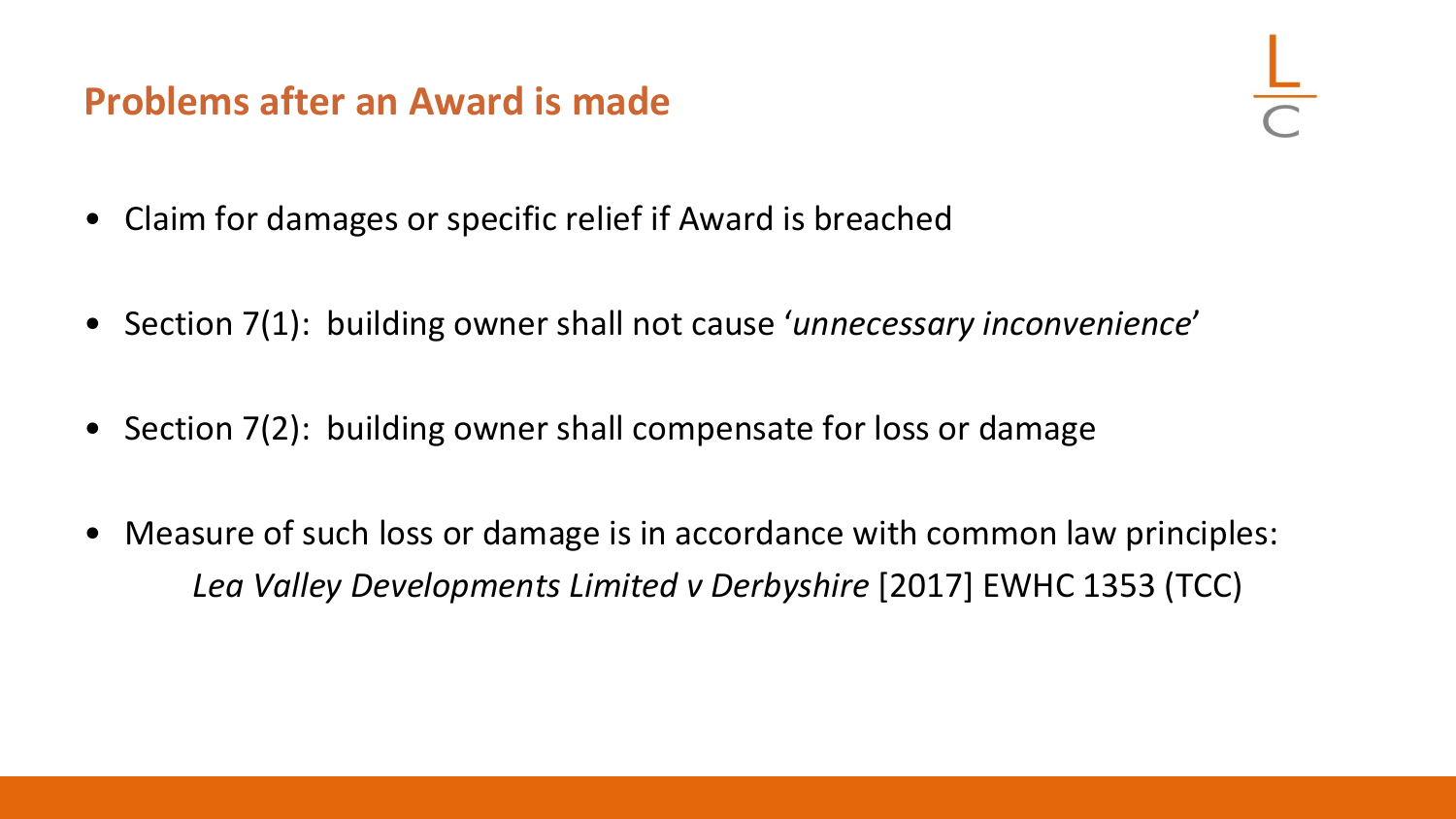## **Problems after an Award is made**

- Claim for damages or specific relief if Award is breached
- Section 7(1): building owner shall not cause '*unnecessary inconvenience*'
- Section 7(2): building owner shall compensate for loss or damage
- Measure of such loss or damage is in accordance with common law principles: *Lea Valley Developments Limited v Derbyshire* [2017] EWHC 1353 (TCC)